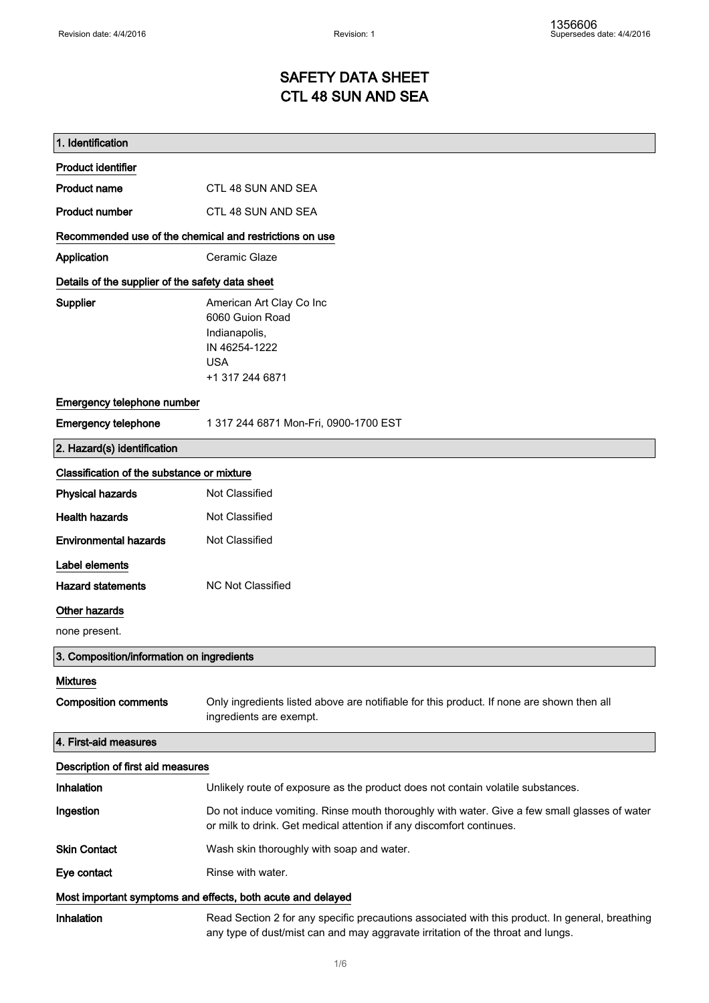### SAFETY DATA SHEET CTL 48 SUN AND SEA

| 1. Identification                                           |                                                                                                                                                                                    |
|-------------------------------------------------------------|------------------------------------------------------------------------------------------------------------------------------------------------------------------------------------|
| <b>Product identifier</b>                                   |                                                                                                                                                                                    |
| <b>Product name</b>                                         | CTL 48 SUN AND SEA                                                                                                                                                                 |
| <b>Product number</b>                                       | CTL 48 SUN AND SEA                                                                                                                                                                 |
| Recommended use of the chemical and restrictions on use     |                                                                                                                                                                                    |
| Application                                                 | Ceramic Glaze                                                                                                                                                                      |
| Details of the supplier of the safety data sheet            |                                                                                                                                                                                    |
| Supplier                                                    | American Art Clay Co Inc<br>6060 Guion Road<br>Indianapolis,<br>IN 46254-1222<br><b>USA</b><br>+1 317 244 6871                                                                     |
| Emergency telephone number                                  |                                                                                                                                                                                    |
| <b>Emergency telephone</b>                                  | 1 317 244 6871 Mon-Fri, 0900-1700 EST                                                                                                                                              |
| 2. Hazard(s) identification                                 |                                                                                                                                                                                    |
| Classification of the substance or mixture                  |                                                                                                                                                                                    |
| <b>Physical hazards</b>                                     | Not Classified                                                                                                                                                                     |
| <b>Health hazards</b>                                       | Not Classified                                                                                                                                                                     |
| <b>Environmental hazards</b>                                | Not Classified                                                                                                                                                                     |
| Label elements                                              |                                                                                                                                                                                    |
| <b>Hazard statements</b>                                    | <b>NC Not Classified</b>                                                                                                                                                           |
| Other hazards                                               |                                                                                                                                                                                    |
| none present.                                               |                                                                                                                                                                                    |
| 3. Composition/information on ingredients                   |                                                                                                                                                                                    |
| <b>Mixtures</b>                                             |                                                                                                                                                                                    |
| <b>Composition comments</b>                                 | Only ingredients listed above are notifiable for this product. If none are shown then all<br>ingredients are exempt.                                                               |
| 4. First-aid measures                                       |                                                                                                                                                                                    |
| Description of first aid measures                           |                                                                                                                                                                                    |
| Inhalation                                                  | Unlikely route of exposure as the product does not contain volatile substances.                                                                                                    |
| Ingestion                                                   | Do not induce vomiting. Rinse mouth thoroughly with water. Give a few small glasses of water<br>or milk to drink. Get medical attention if any discomfort continues.               |
| <b>Skin Contact</b>                                         | Wash skin thoroughly with soap and water.                                                                                                                                          |
| Eye contact                                                 | Rinse with water.                                                                                                                                                                  |
| Most important symptoms and effects, both acute and delayed |                                                                                                                                                                                    |
| Inhalation                                                  | Read Section 2 for any specific precautions associated with this product. In general, breathing<br>any type of dust/mist can and may aggravate irritation of the throat and lungs. |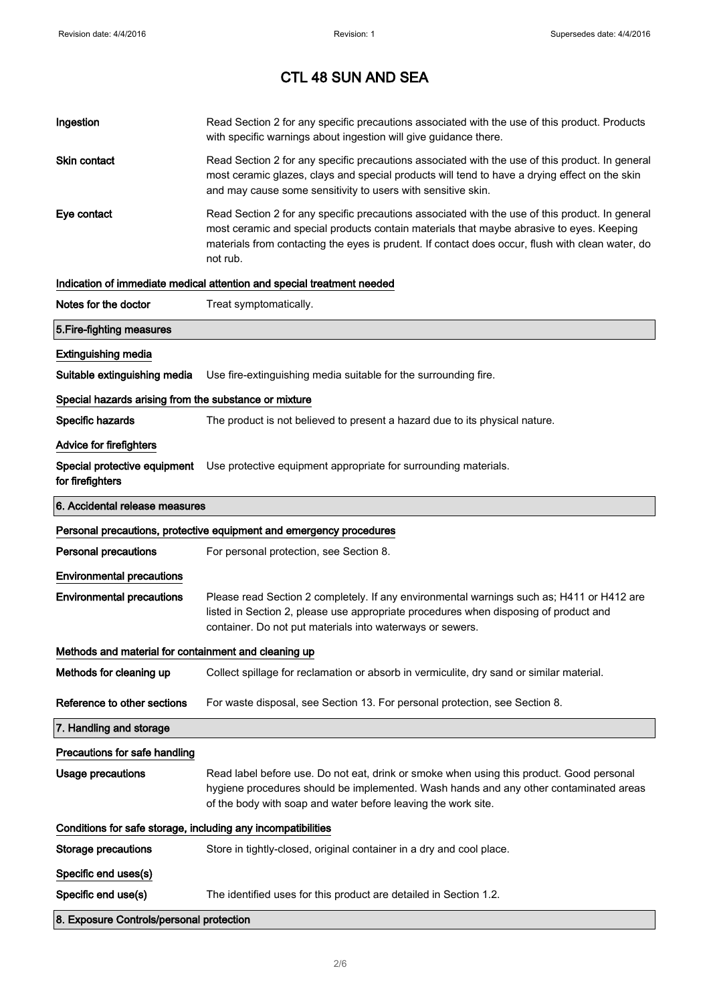| Ingestion                                                    | Read Section 2 for any specific precautions associated with the use of this product. Products<br>with specific warnings about ingestion will give guidance there.                                                                                                                                           |  |
|--------------------------------------------------------------|-------------------------------------------------------------------------------------------------------------------------------------------------------------------------------------------------------------------------------------------------------------------------------------------------------------|--|
| Skin contact                                                 | Read Section 2 for any specific precautions associated with the use of this product. In general<br>most ceramic glazes, clays and special products will tend to have a drying effect on the skin<br>and may cause some sensitivity to users with sensitive skin.                                            |  |
| Eye contact                                                  | Read Section 2 for any specific precautions associated with the use of this product. In general<br>most ceramic and special products contain materials that maybe abrasive to eyes. Keeping<br>materials from contacting the eyes is prudent. If contact does occur, flush with clean water, do<br>not rub. |  |
|                                                              | Indication of immediate medical attention and special treatment needed                                                                                                                                                                                                                                      |  |
| Notes for the doctor                                         | Treat symptomatically.                                                                                                                                                                                                                                                                                      |  |
| 5. Fire-fighting measures                                    |                                                                                                                                                                                                                                                                                                             |  |
| <b>Extinguishing media</b>                                   |                                                                                                                                                                                                                                                                                                             |  |
| Suitable extinguishing media                                 | Use fire-extinguishing media suitable for the surrounding fire.                                                                                                                                                                                                                                             |  |
| Special hazards arising from the substance or mixture        |                                                                                                                                                                                                                                                                                                             |  |
| Specific hazards                                             | The product is not believed to present a hazard due to its physical nature.                                                                                                                                                                                                                                 |  |
| <b>Advice for firefighters</b>                               |                                                                                                                                                                                                                                                                                                             |  |
| for firefighters                                             | Special protective equipment Use protective equipment appropriate for surrounding materials.                                                                                                                                                                                                                |  |
| 6. Accidental release measures                               |                                                                                                                                                                                                                                                                                                             |  |
|                                                              | Personal precautions, protective equipment and emergency procedures                                                                                                                                                                                                                                         |  |
| <b>Personal precautions</b>                                  | For personal protection, see Section 8.                                                                                                                                                                                                                                                                     |  |
| <b>Environmental precautions</b>                             |                                                                                                                                                                                                                                                                                                             |  |
| <b>Environmental precautions</b>                             | Please read Section 2 completely. If any environmental warnings such as; H411 or H412 are<br>listed in Section 2, please use appropriate procedures when disposing of product and<br>container. Do not put materials into waterways or sewers.                                                              |  |
| Methods and material for containment and cleaning up         |                                                                                                                                                                                                                                                                                                             |  |
| Methods for cleaning up                                      | Collect spillage for reclamation or absorb in vermiculite, dry sand or similar material.                                                                                                                                                                                                                    |  |
| Reference to other sections                                  | For waste disposal, see Section 13. For personal protection, see Section 8.                                                                                                                                                                                                                                 |  |
| 7. Handling and storage                                      |                                                                                                                                                                                                                                                                                                             |  |
| Precautions for safe handling                                |                                                                                                                                                                                                                                                                                                             |  |
| <b>Usage precautions</b>                                     | Read label before use. Do not eat, drink or smoke when using this product. Good personal<br>hygiene procedures should be implemented. Wash hands and any other contaminated areas<br>of the body with soap and water before leaving the work site.                                                          |  |
| Conditions for safe storage, including any incompatibilities |                                                                                                                                                                                                                                                                                                             |  |
| <b>Storage precautions</b>                                   | Store in tightly-closed, original container in a dry and cool place.                                                                                                                                                                                                                                        |  |
|                                                              |                                                                                                                                                                                                                                                                                                             |  |
| Specific end uses(s)                                         |                                                                                                                                                                                                                                                                                                             |  |
| Specific end use(s)                                          | The identified uses for this product are detailed in Section 1.2.                                                                                                                                                                                                                                           |  |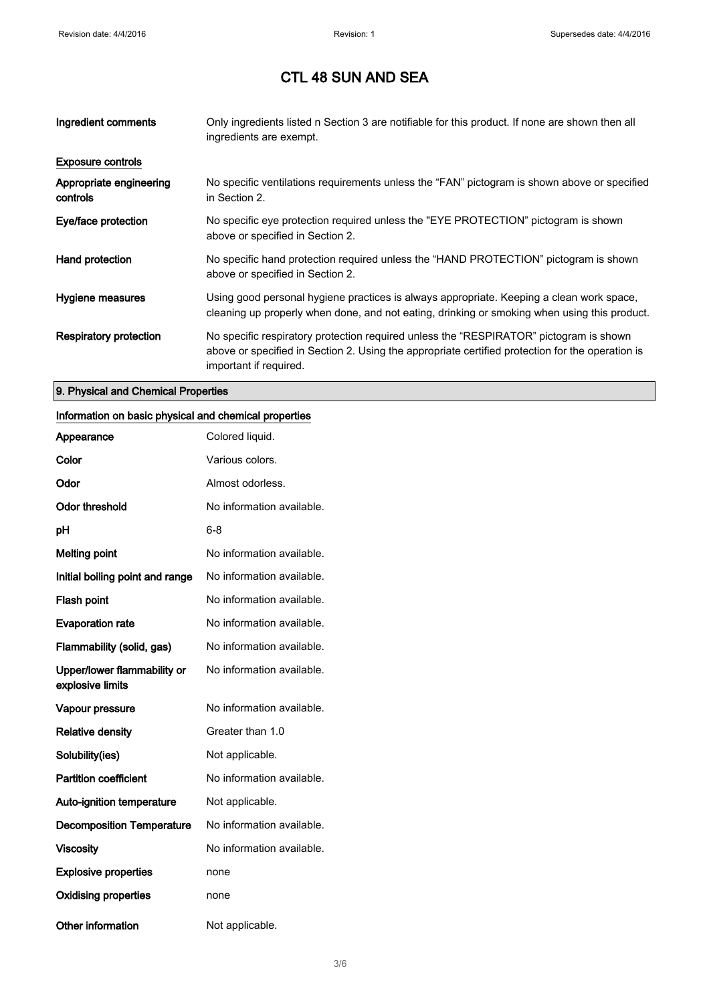| Ingredient comments                 | Only ingredients listed n Section 3 are notifiable for this product. If none are shown then all<br>ingredients are exempt.                                                                                           |
|-------------------------------------|----------------------------------------------------------------------------------------------------------------------------------------------------------------------------------------------------------------------|
| <b>Exposure controls</b>            |                                                                                                                                                                                                                      |
| Appropriate engineering<br>controls | No specific ventilations requirements unless the "FAN" pictogram is shown above or specified<br>in Section 2.                                                                                                        |
| Eye/face protection                 | No specific eye protection required unless the "EYE PROTECTION" pictogram is shown<br>above or specified in Section 2.                                                                                               |
| Hand protection                     | No specific hand protection required unless the "HAND PROTECTION" pictogram is shown<br>above or specified in Section 2.                                                                                             |
| Hygiene measures                    | Using good personal hygiene practices is always appropriate. Keeping a clean work space,<br>cleaning up properly when done, and not eating, drinking or smoking when using this product.                             |
| Respiratory protection              | No specific respiratory protection required unless the "RESPIRATOR" pictogram is shown<br>above or specified in Section 2. Using the appropriate certified protection for the operation is<br>important if required. |

#### 9. Physical and Chemical Properties

#### Information on basic physical and chemical properties

| Appearance                                      | Colored liquid.           |
|-------------------------------------------------|---------------------------|
| Color                                           | Various colors.           |
| Odor                                            | Almost odorless.          |
| <b>Odor threshold</b>                           | No information available. |
| рH                                              | 6-8                       |
| <b>Melting point</b>                            | No information available. |
| Initial boiling point and range                 | No information available. |
| <b>Flash point</b>                              | No information available. |
| <b>Evaporation rate</b>                         | No information available. |
| Flammability (solid, gas)                       | No information available. |
| Upper/lower flammability or<br>explosive limits | No information available. |
| Vapour pressure                                 | No information available. |
| <b>Relative density</b>                         | Greater than 1.0          |
| Solubility(ies)                                 | Not applicable.           |
| <b>Partition coefficient</b>                    | No information available. |
| <b>Auto-ignition temperature</b>                | Not applicable.           |
| <b>Decomposition Temperature</b>                | No information available. |
| <b>Viscosity</b>                                | No information available. |
| <b>Explosive properties</b>                     | none                      |
| <b>Oxidising properties</b>                     | none                      |
| Other information                               | Not applicable.           |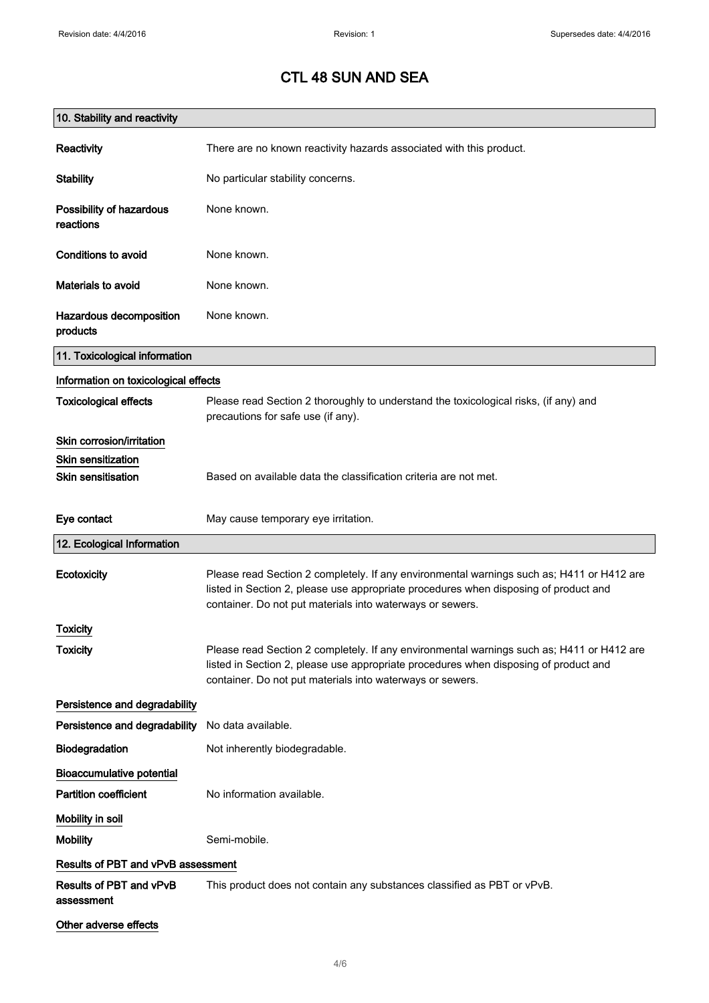| 10. Stability and reactivity          |                                                                                                                                                                                                                                                |
|---------------------------------------|------------------------------------------------------------------------------------------------------------------------------------------------------------------------------------------------------------------------------------------------|
| Reactivity                            | There are no known reactivity hazards associated with this product.                                                                                                                                                                            |
| <b>Stability</b>                      | No particular stability concerns.                                                                                                                                                                                                              |
| Possibility of hazardous<br>reactions | None known.                                                                                                                                                                                                                                    |
| Conditions to avoid                   | None known.                                                                                                                                                                                                                                    |
| Materials to avoid                    | None known.                                                                                                                                                                                                                                    |
| Hazardous decomposition<br>products   | None known.                                                                                                                                                                                                                                    |
| 11. Toxicological information         |                                                                                                                                                                                                                                                |
| Information on toxicological effects  |                                                                                                                                                                                                                                                |
| <b>Toxicological effects</b>          | Please read Section 2 thoroughly to understand the toxicological risks, (if any) and<br>precautions for safe use (if any).                                                                                                                     |
| Skin corrosion/irritation             |                                                                                                                                                                                                                                                |
| <b>Skin sensitization</b>             |                                                                                                                                                                                                                                                |
| <b>Skin sensitisation</b>             | Based on available data the classification criteria are not met.                                                                                                                                                                               |
| Eye contact                           | May cause temporary eye irritation.                                                                                                                                                                                                            |
| 12. Ecological Information            |                                                                                                                                                                                                                                                |
| Ecotoxicity                           | Please read Section 2 completely. If any environmental warnings such as; H411 or H412 are<br>listed in Section 2, please use appropriate procedures when disposing of product and<br>container. Do not put materials into waterways or sewers. |
| <b>Toxicity</b>                       |                                                                                                                                                                                                                                                |
| <b>Toxicity</b>                       | Please read Section 2 completely. If any environmental warnings such as; H411 or H412 are<br>listed in Section 2, please use appropriate procedures when disposing of product and<br>container. Do not put materials into waterways or sewers. |
| Persistence and degradability         |                                                                                                                                                                                                                                                |
| Persistence and degradability         | No data available.                                                                                                                                                                                                                             |
| Biodegradation                        | Not inherently biodegradable.                                                                                                                                                                                                                  |
| <b>Bioaccumulative potential</b>      |                                                                                                                                                                                                                                                |
| <b>Partition coefficient</b>          | No information available.                                                                                                                                                                                                                      |
| Mobility in soil                      |                                                                                                                                                                                                                                                |
| <b>Mobility</b>                       | Semi-mobile.                                                                                                                                                                                                                                   |
| Results of PBT and vPvB assessment    |                                                                                                                                                                                                                                                |
| Results of PBT and vPvB<br>assessment | This product does not contain any substances classified as PBT or vPvB.                                                                                                                                                                        |
| Other adverse effects                 |                                                                                                                                                                                                                                                |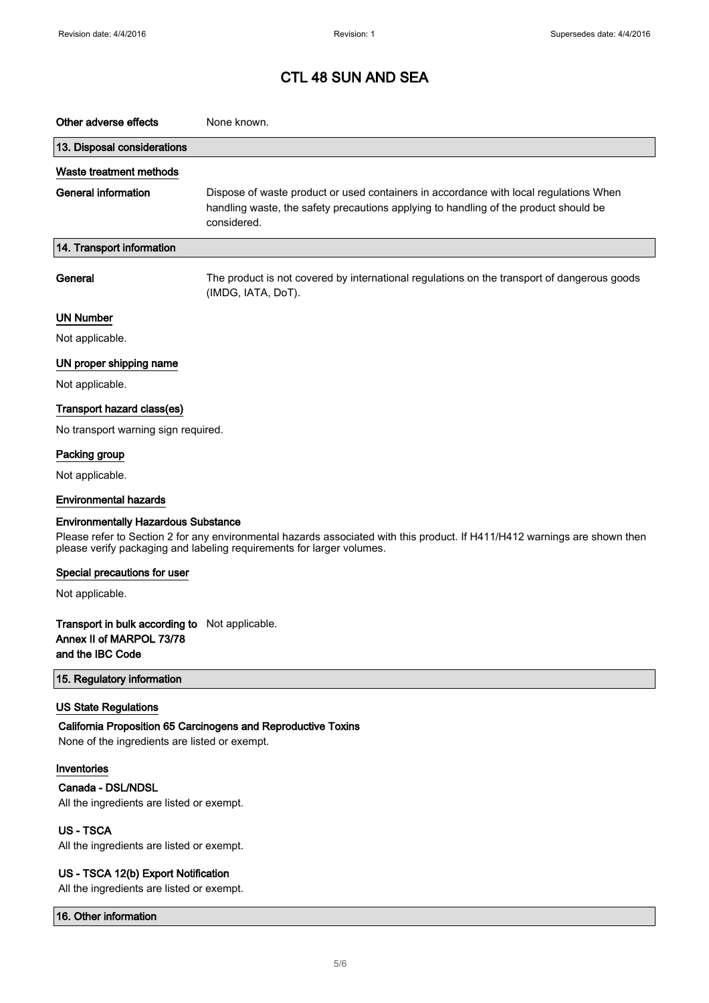| Other adverse effects                                                                                                                                                                                                                             | None known.                                                                                                                                                                                  |  |
|---------------------------------------------------------------------------------------------------------------------------------------------------------------------------------------------------------------------------------------------------|----------------------------------------------------------------------------------------------------------------------------------------------------------------------------------------------|--|
| 13. Disposal considerations                                                                                                                                                                                                                       |                                                                                                                                                                                              |  |
| Waste treatment methods                                                                                                                                                                                                                           |                                                                                                                                                                                              |  |
| <b>General information</b>                                                                                                                                                                                                                        | Dispose of waste product or used containers in accordance with local regulations When<br>handling waste, the safety precautions applying to handling of the product should be<br>considered. |  |
| 14. Transport information                                                                                                                                                                                                                         |                                                                                                                                                                                              |  |
| General                                                                                                                                                                                                                                           | The product is not covered by international regulations on the transport of dangerous goods<br>(IMDG, IATA, DoT).                                                                            |  |
| <b>UN Number</b>                                                                                                                                                                                                                                  |                                                                                                                                                                                              |  |
| Not applicable.                                                                                                                                                                                                                                   |                                                                                                                                                                                              |  |
| UN proper shipping name                                                                                                                                                                                                                           |                                                                                                                                                                                              |  |
| Not applicable.                                                                                                                                                                                                                                   |                                                                                                                                                                                              |  |
| Transport hazard class(es)                                                                                                                                                                                                                        |                                                                                                                                                                                              |  |
| No transport warning sign required.                                                                                                                                                                                                               |                                                                                                                                                                                              |  |
| Packing group                                                                                                                                                                                                                                     |                                                                                                                                                                                              |  |
| Not applicable.                                                                                                                                                                                                                                   |                                                                                                                                                                                              |  |
| <b>Environmental hazards</b>                                                                                                                                                                                                                      |                                                                                                                                                                                              |  |
| <b>Environmentally Hazardous Substance</b><br>Please refer to Section 2 for any environmental hazards associated with this product. If H411/H412 warnings are shown then<br>please verify packaging and labeling requirements for larger volumes. |                                                                                                                                                                                              |  |
| Special precautions for user                                                                                                                                                                                                                      |                                                                                                                                                                                              |  |
| Not applicable.                                                                                                                                                                                                                                   |                                                                                                                                                                                              |  |
| Transport in bulk according to Not applicable.<br>Annex II of MARPOL 73/78<br>and the IBC Code                                                                                                                                                    |                                                                                                                                                                                              |  |
| 15. Regulatory information                                                                                                                                                                                                                        |                                                                                                                                                                                              |  |
| <b>US State Regulations</b>                                                                                                                                                                                                                       |                                                                                                                                                                                              |  |
| None of the ingredients are listed or exempt.                                                                                                                                                                                                     | California Proposition 65 Carcinogens and Reproductive Toxins                                                                                                                                |  |
| Inventories                                                                                                                                                                                                                                       |                                                                                                                                                                                              |  |
| Canada - DSL/NDSL<br>All the ingredients are listed or exempt.                                                                                                                                                                                    |                                                                                                                                                                                              |  |
| <b>US-TSCA</b>                                                                                                                                                                                                                                    |                                                                                                                                                                                              |  |
| All the ingredients are listed or exempt.                                                                                                                                                                                                         |                                                                                                                                                                                              |  |
| US - TSCA 12(b) Export Notification<br>All the ingredients are listed or exempt.                                                                                                                                                                  |                                                                                                                                                                                              |  |